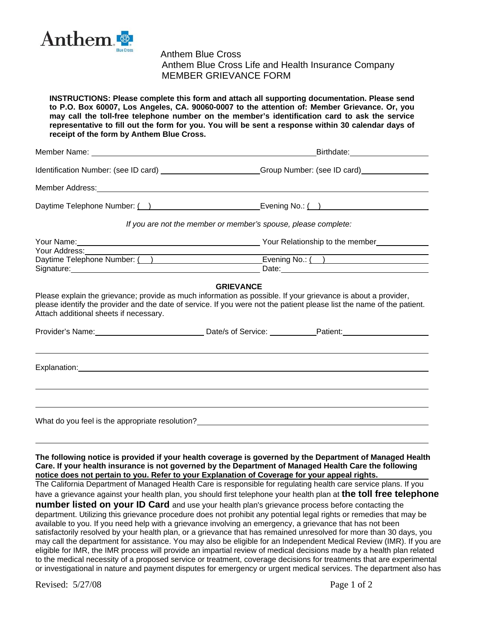

 Anthem Blue Cross Anthem Blue Cross Life and Health Insurance Company MEMBER GRIEVANCE FORM

**INSTRUCTIONS: Please complete this form and attach all supporting documentation. Please send to P.O. Box 60007, Los Angeles, CA. 90060-0007 to the attention of: Member Grievance. Or, you may call the toll-free telephone number on the member's identification card to ask the service representative to fill out the form for you. You will be sent a response within 30 calendar days of receipt of the form by Anthem Blue Cross.** 

|                                                                                                                                                                                                                                | Birthdate: <b>Example</b>                                                                                      |  |  |
|--------------------------------------------------------------------------------------------------------------------------------------------------------------------------------------------------------------------------------|----------------------------------------------------------------------------------------------------------------|--|--|
|                                                                                                                                                                                                                                |                                                                                                                |  |  |
| Member Address: Management Address: Management Address: Management Address: Management Address: Management Address: Management Address: Management Address: Management Address: Management Address: Management Address: Manage |                                                                                                                |  |  |
| Daytime Telephone Number: ( )                                                                                                                                                                                                  | Evening No.: ( )                                                                                               |  |  |
| If you are not the member or member's spouse, please complete:                                                                                                                                                                 |                                                                                                                |  |  |
| Your Address:                                                                                                                                                                                                                  | Your Relationship to the member                                                                                |  |  |
| Daytime Telephone Number: ( )                                                                                                                                                                                                  |                                                                                                                |  |  |
| Signature: Management Communications and Communications and Communications and Communications and Communications and Communications and Communications and Communications and Communications and Communications are defined as | Date: 2008 2010 2010 2021 2022 2023 2024 2022 2022 2023 2024 2022 2023 2024 2022 2023 2024 2022 2023 2024 2025 |  |  |

## **GRIEVANCE**

Please explain the grievance; provide as much information as possible. If your grievance is about a provider, please identify the provider and the date of service. If you were not the patient please list the name of the patient. Attach additional sheets if necessary.

|              | Date/s of Service: <u>contained</u> |  |
|--------------|-------------------------------------|--|
|              |                                     |  |
| Explanation: |                                     |  |
|              |                                     |  |
|              |                                     |  |
|              |                                     |  |

What do you feel is the appropriate resolution?

**The following notice is provided if your health coverage is governed by the Department of Managed Health Care. If your health insurance is not governed by the Department of Managed Health Care the following notice does not pertain to you. Refer to your Explanation of Coverage for your appeal rights.** 

The California Department of Managed Health Care is responsible for regulating health care service plans. If you have a grievance against your health plan, you should first telephone your health plan at **the toll free telephone** 

**number listed on your ID Card** and use your health plan's grievance process before contacting the department. Utilizing this grievance procedure does not prohibit any potential legal rights or remedies that may be available to you. If you need help with a grievance involving an emergency, a grievance that has not been satisfactorily resolved by your health plan, or a grievance that has remained unresolved for more than 30 days, you may call the department for assistance. You may also be eligible for an Independent Medical Review (IMR). If you are eligible for IMR, the IMR process will provide an impartial review of medical decisions made by a health plan related to the medical necessity of a proposed service or treatment, coverage decisions for treatments that are experimental or investigational in nature and payment disputes for emergency or urgent medical services. The department also has

Revised:  $5/27/08$  Page 1 of 2

 $\overline{a}$